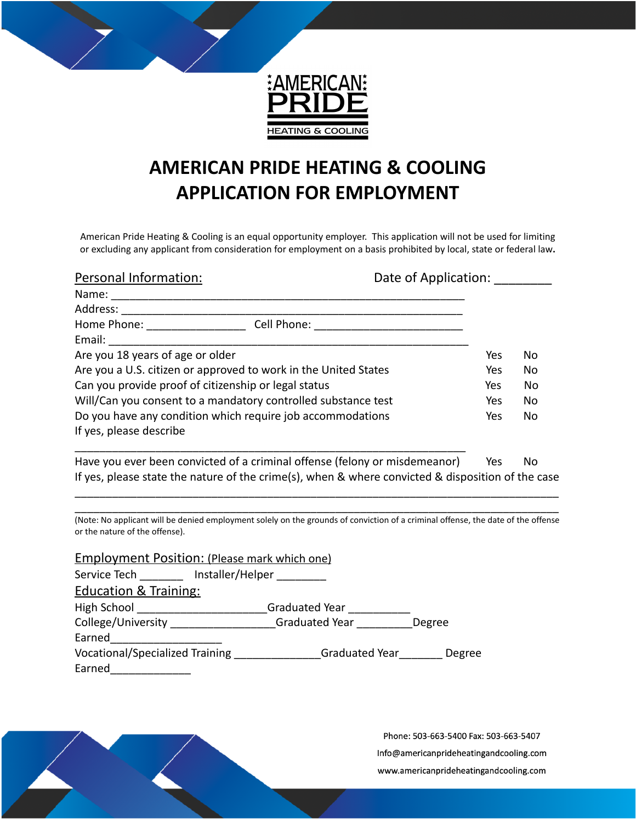

## **AMERICAN PRIDE HEATING & COOLING APPLICATION FOR EMPLOYMENT**

American Pride Heating & Cooling is an equal opportunity employer. This application will not be used for limiting or excluding any applicant from consideration for employment on a basis prohibited by local, state or federal law**.**

| Personal Information:<br>Date of Application:                              |             |     |     |
|----------------------------------------------------------------------------|-------------|-----|-----|
| Name:                                                                      |             |     |     |
| Address:                                                                   |             |     |     |
| Home Phone:                                                                | Cell Phone: |     |     |
| Email:                                                                     |             |     |     |
| Are you 18 years of age or older                                           |             |     | No. |
| Are you a U.S. citizen or approved to work in the United States            |             | Yes | No  |
| Can you provide proof of citizenship or legal status                       |             |     | No  |
| Will/Can you consent to a mandatory controlled substance test              |             |     | No  |
| Do you have any condition which require job accommodations                 |             |     | No  |
| If yes, please describe                                                    |             |     |     |
| Have you ever been convicted of a criminal offense (felony or misdemeanor) |             | Yes | No  |

If yes, please state the nature of the crime(s), when & where convicted & disposition of the case \_\_\_\_\_\_\_\_\_\_\_\_\_\_\_\_\_\_\_\_\_\_\_\_\_\_\_\_\_\_\_\_\_\_\_\_\_\_\_\_\_\_\_\_\_\_\_\_\_\_\_\_\_\_\_\_\_\_\_\_\_\_\_\_\_\_\_\_\_\_\_\_\_\_\_\_\_\_

\_\_\_\_\_\_\_\_\_\_\_\_\_\_\_\_\_\_\_\_\_\_\_\_\_\_\_\_\_\_\_\_\_\_\_\_\_\_\_\_\_\_\_\_\_\_\_\_\_\_\_\_\_\_\_\_\_\_\_\_\_\_\_\_\_\_\_\_\_\_\_\_\_\_\_\_\_\_ (Note: No applicant will be denied employment solely on the grounds of conviction of a criminal offense, the date of the offense or the nature of the offense).

| <b>Employment Position: (Please mark which one)</b> |                               |        |  |  |
|-----------------------------------------------------|-------------------------------|--------|--|--|
|                                                     | Service Tech lnstaller/Helper |        |  |  |
| <b>Education &amp; Training:</b>                    |                               |        |  |  |
| High School                                         | Graduated Year                |        |  |  |
| College/University                                  | Graduated Year                | Degree |  |  |
| Earned                                              |                               |        |  |  |
| <b>Vocational/Specialized Training</b>              | Graduated Year                | Degree |  |  |
| Earned                                              |                               |        |  |  |

Phone: 503-663-5400 Fax: 503-663-5407 Info@americanprideheatingandcooling.com www.americanprideheatingandcooling.com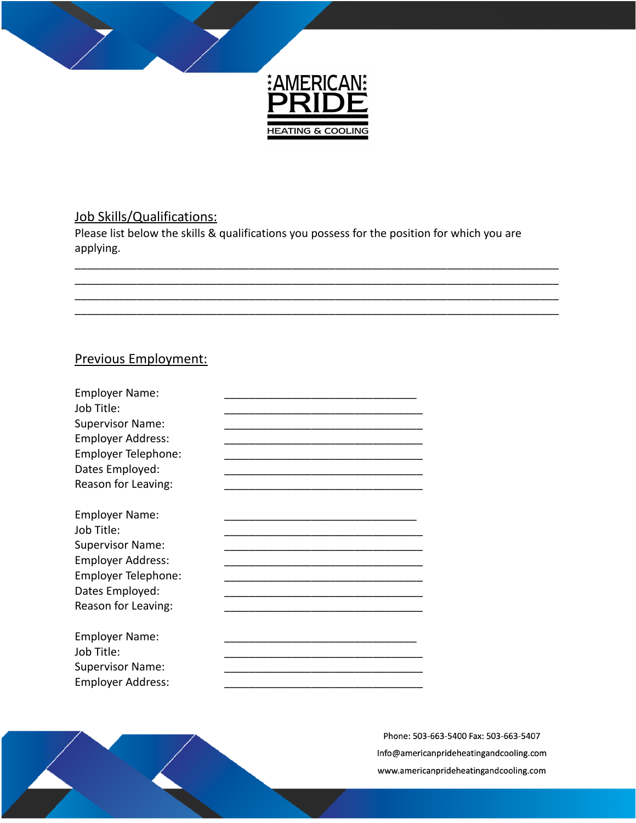

## Job Skills/Qualifications:

Please list below the skills & qualifications you possess for the position for which you are applying.

## Previous Employment:

| <b>Employer Name:</b><br>Job Title:<br><b>Supervisor Name:</b><br><b>Employer Address:</b><br>Employer Telephone:<br>Dates Employed:<br>Reason for Leaving: |  |
|-------------------------------------------------------------------------------------------------------------------------------------------------------------|--|
| <b>Employer Name:</b><br>Job Title:<br><b>Supervisor Name:</b><br><b>Employer Address:</b><br>Employer Telephone:<br>Dates Employed:<br>Reason for Leaving: |  |
| <b>Employer Name:</b><br>Job Title:<br><b>Supervisor Name:</b><br><b>Employer Address:</b>                                                                  |  |

Phone: 503-663-5400 Fax: 503-663-5407 Info@americanprideheatingandcooling.com www.americanprideheatingandcooling.com